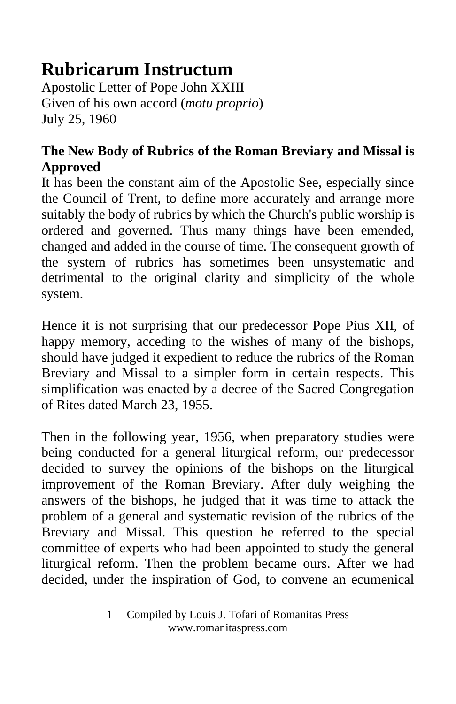## **Rubricarum Instructum**

Apostolic Letter of Pope John XXIII Given of his own accord (*motu proprio*) July 25, 1960

## **The New Body of Rubrics of the Roman Breviary and Missal is Approved**

It has been the constant aim of the Apostolic See, especially since the Council of Trent, to define more accurately and arrange more suitably the body of rubrics by which the Church's public worship is ordered and governed. Thus many things have been emended, changed and added in the course of time. The consequent growth of the system of rubrics has sometimes been unsystematic and detrimental to the original clarity and simplicity of the whole system.

Hence it is not surprising that our predecessor Pope Pius XII, of happy memory, acceding to the wishes of many of the bishops, should have judged it expedient to reduce the rubrics of the Roman Breviary and Missal to a simpler form in certain respects. This simplification was enacted by a decree of the Sacred Congregation of Rites dated March 23, 1955.

Then in the following year, 1956, when preparatory studies were being conducted for a general liturgical reform, our predecessor decided to survey the opinions of the bishops on the liturgical improvement of the Roman Breviary. After duly weighing the answers of the bishops, he judged that it was time to attack the problem of a general and systematic revision of the rubrics of the Breviary and Missal. This question he referred to the special committee of experts who had been appointed to study the general liturgical reform. Then the problem became ours. After we had decided, under the inspiration of God, to convene an ecumenical

<sup>1</sup> Compiled by Louis J. Tofari of Romanitas Press www.romanitaspress.com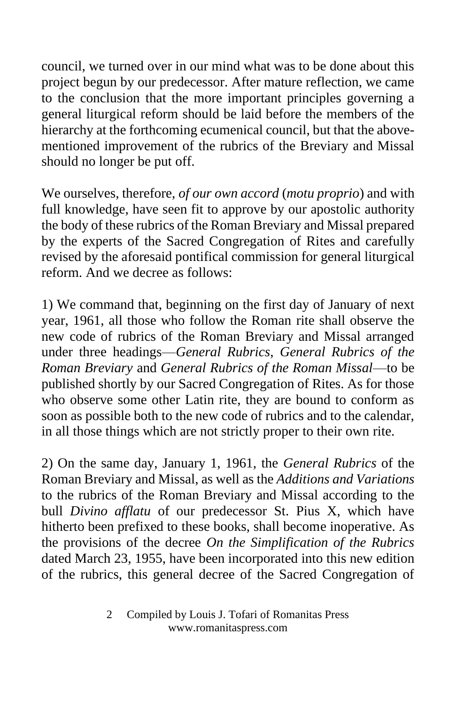council, we turned over in our mind what was to be done about this project begun by our predecessor. After mature reflection, we came to the conclusion that the more important principles governing a general liturgical reform should be laid before the members of the hierarchy at the forthcoming ecumenical council, but that the abovementioned improvement of the rubrics of the Breviary and Missal should no longer be put off.

We ourselves, therefore, *of our own accord* (*motu proprio*) and with full knowledge, have seen fit to approve by our apostolic authority the body of these rubrics of the Roman Breviary and Missal prepared by the experts of the Sacred Congregation of Rites and carefully revised by the aforesaid pontifical commission for general liturgical reform. And we decree as follows:

1) We command that, beginning on the first day of January of next year, 1961, all those who follow the Roman rite shall observe the new code of rubrics of the Roman Breviary and Missal arranged under three headings—*General Rubrics*, *General Rubrics of the Roman Breviary* and *General Rubrics of the Roman Missal*—to be published shortly by our Sacred Congregation of Rites. As for those who observe some other Latin rite, they are bound to conform as soon as possible both to the new code of rubrics and to the calendar, in all those things which are not strictly proper to their own rite.

2) On the same day, January 1, 1961, the *General Rubrics* of the Roman Breviary and Missal, as well as the *Additions and Variations* to the rubrics of the Roman Breviary and Missal according to the bull *Divino afflatu* of our predecessor St. Pius X, which have hitherto been prefixed to these books, shall become inoperative. As the provisions of the decree *On the Simplification of the Rubrics* dated March 23, 1955, have been incorporated into this new edition of the rubrics, this general decree of the Sacred Congregation of

<sup>2</sup> Compiled by Louis J. Tofari of Romanitas Press www.romanitaspress.com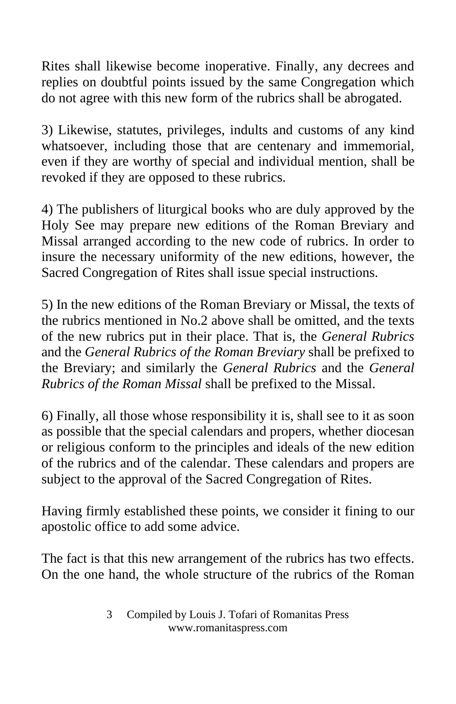Rites shall likewise become inoperative. Finally, any decrees and replies on doubtful points issued by the same Congregation which do not agree with this new form of the rubrics shall be abrogated.

3) Likewise, statutes, privileges, indults and customs of any kind whatsoever, including those that are centenary and immemorial, even if they are worthy of special and individual mention, shall be revoked if they are opposed to these rubrics.

4) The publishers of liturgical books who are duly approved by the Holy See may prepare new editions of the Roman Breviary and Missal arranged according to the new code of rubrics. In order to insure the necessary uniformity of the new editions, however, the Sacred Congregation of Rites shall issue special instructions.

5) In the new editions of the Roman Breviary or Missal, the texts of the rubrics mentioned in No.2 above shall be omitted, and the texts of the new rubrics put in their place. That is, the *General Rubrics* and the *General Rubrics of the Roman Breviary* shall be prefixed to the Breviary; and similarly the *General Rubrics* and the *General Rubrics of the Roman Missal* shall be prefixed to the Missal.

6) Finally, all those whose responsibility it is, shall see to it as soon as possible that the special calendars and propers, whether diocesan or religious conform to the principles and ideals of the new edition of the rubrics and of the calendar. These calendars and propers are subject to the approval of the Sacred Congregation of Rites.

Having firmly established these points, we consider it fining to our apostolic office to add some advice.

The fact is that this new arrangement of the rubrics has two effects. On the one hand, the whole structure of the rubrics of the Roman

<sup>3</sup> Compiled by Louis J. Tofari of Romanitas Press www.romanitaspress.com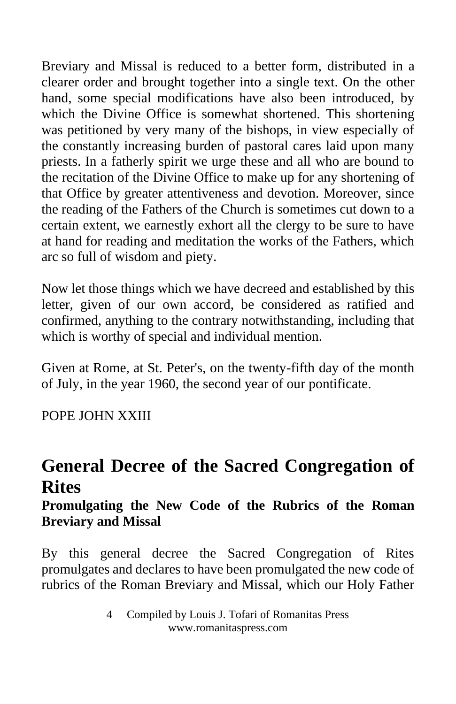Breviary and Missal is reduced to a better form, distributed in a clearer order and brought together into a single text. On the other hand, some special modifications have also been introduced, by which the Divine Office is somewhat shortened. This shortening was petitioned by very many of the bishops, in view especially of the constantly increasing burden of pastoral cares laid upon many priests. In a fatherly spirit we urge these and all who are bound to the recitation of the Divine Office to make up for any shortening of that Office by greater attentiveness and devotion. Moreover, since the reading of the Fathers of the Church is sometimes cut down to a certain extent, we earnestly exhort all the clergy to be sure to have at hand for reading and meditation the works of the Fathers, which arc so full of wisdom and piety.

Now let those things which we have decreed and established by this letter, given of our own accord, be considered as ratified and confirmed, anything to the contrary notwithstanding, including that which is worthy of special and individual mention.

Given at Rome, at St. Peter's, on the twenty-fifth day of the month of July, in the year 1960, the second year of our pontificate.

POPE JOHN XXIII

## **General Decree of the Sacred Congregation of Rites**

## **Promulgating the New Code of the Rubrics of the Roman Breviary and Missal**

By this general decree the Sacred Congregation of Rites promulgates and declares to have been promulgated the new code of rubrics of the Roman Breviary and Missal, which our Holy Father

<sup>4</sup> Compiled by Louis J. Tofari of Romanitas Press www.romanitaspress.com